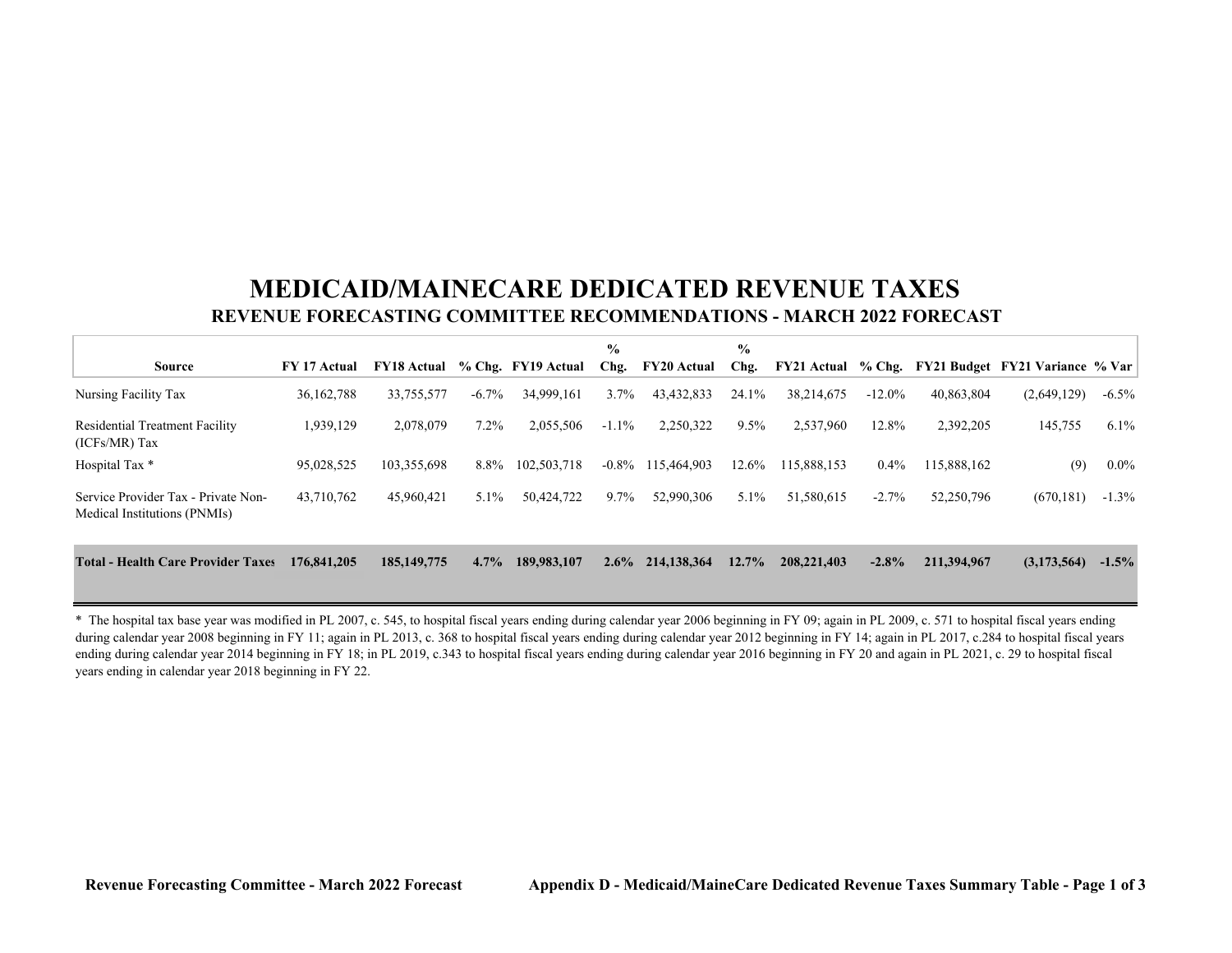## **MEDICAID/MAINECARE DEDICATED REVENUE TAXES REVENUE FORECASTING COMMITTEE RECOMMENDATIONS - MARCH 2022 FORECAST**

| <b>Source</b>                                                       | FY 17 Actual | <b>FY18 Actual</b> |          | % Chg. FY19 Actual | $\frac{0}{0}$<br>Chg. | <b>FY20 Actual</b> | $\frac{0}{0}$<br>Chg. | $FY21$ Actual % Chg. |           |             | FY21 Budget FY21 Variance % Var |          |
|---------------------------------------------------------------------|--------------|--------------------|----------|--------------------|-----------------------|--------------------|-----------------------|----------------------|-----------|-------------|---------------------------------|----------|
| Nursing Facility Tax                                                | 36, 162, 788 | 33,755,577         | $-6.7\%$ | 34,999,161         | $3.7\%$               | 43, 432, 833       | 24.1%                 | 38,214,675           | $-12.0\%$ | 40,863,804  | (2,649,129)                     | $-6.5\%$ |
| <b>Residential Treatment Facility</b><br>$(ICFs/MR)$ Tax            | 1,939,129    | 2,078,079          | $7.2\%$  | 2,055,506          | $-1.1\%$              | 2,250,322          | 9.5%                  | 2,537,960            | 12.8%     | 2,392,205   | 145,755                         | $6.1\%$  |
| Hospital Tax *                                                      | 95,028,525   | 103,355,698        | 8.8%     | 102,503,718        | $-0.8\%$              | 115,464,903        | 12.6%                 | 115,888,153          | $0.4\%$   | 115,888,162 | (9)                             | $0.0\%$  |
| Service Provider Tax - Private Non-<br>Medical Institutions (PNMIs) | 43,710,762   | 45,960,421         | $5.1\%$  | 50,424,722         | 9.7%                  | 52,990,306         | 5.1%                  | 51,580,615           | $-2.7\%$  | 52,250,796  | (670, 181)                      | $-1.3\%$ |
| <b>Total - Health Care Provider Taxes</b>                           | 176,841,205  | 185, 149, 775      | $4.7\%$  | 189,983,107        | $2.6\%$               | 214,138,364        | $12.7\%$              | 208,221,403          | $-2.8\%$  | 211,394,967 | (3,173,564)                     | $-1.5\%$ |

\* The hospital tax base year was modified in PL 2007, c. 545, to hospital fiscal years ending during calendar year 2006 beginning in FY 09; again in PL 2009, c. 571 to hospital fiscal years ending during calendar year 2008 beginning in FY 11; again in PL 2013, c. 368 to hospital fiscal years ending during calendar year 2012 beginning in FY 14; again in PL 2017, c.284 to hospital fiscal years ending during calendar year 2014 beginning in FY 18; in PL 2019, c.343 to hospital fiscal years ending during calendar year 2016 beginning in FY 20 and again in PL 2021, c. 29 to hospital fiscal years ending in calendar year 2018 beginning in FY 22.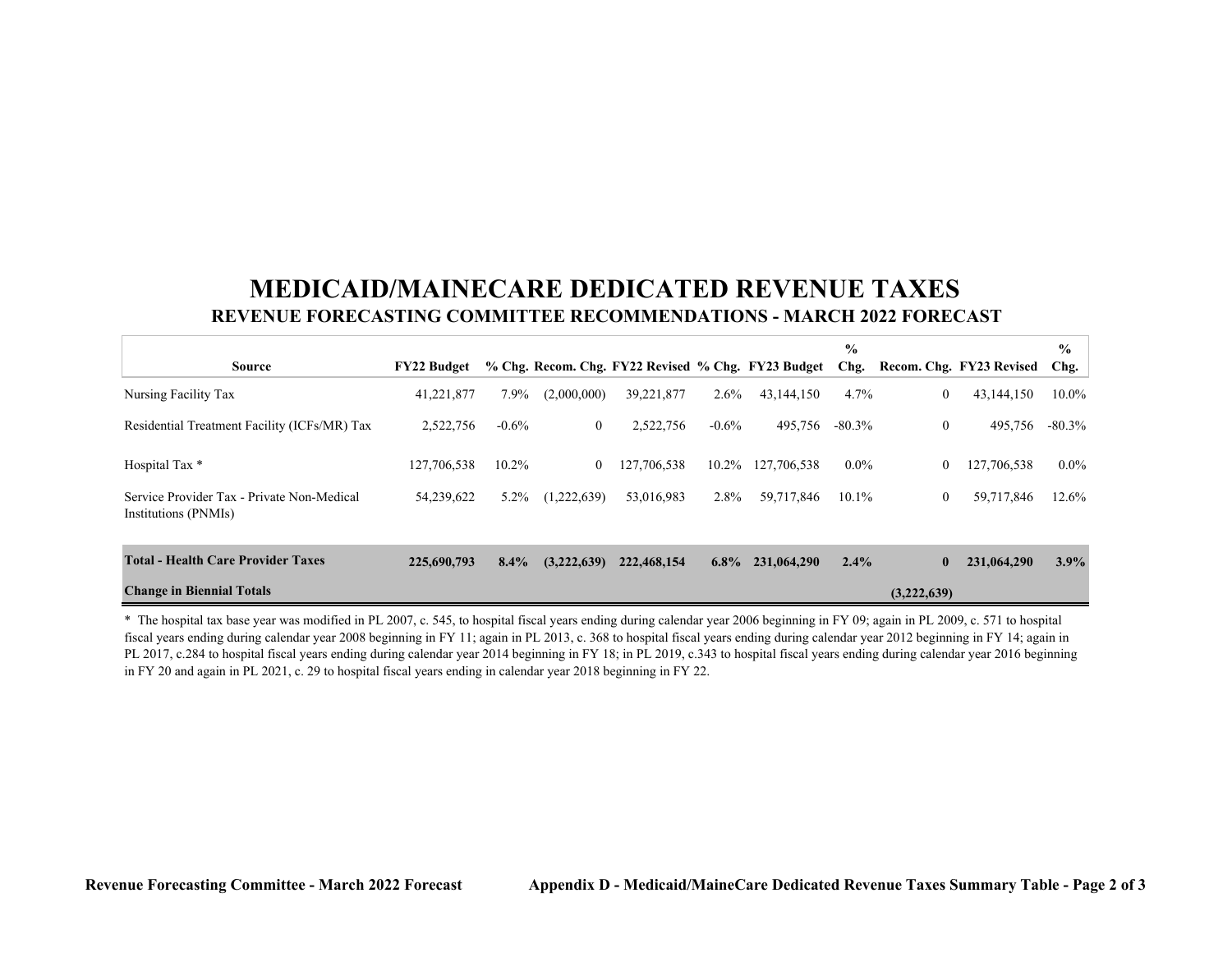## **MEDICAID/MAINECARE DEDICATED REVENUE TAXES REVENUE FORECASTING COMMITTEE RECOMMENDATIONS - MARCH 2022 FORECAST**

|                                                                    |                    |          |                |                                                    |          |             | $\frac{6}{9}$ |                  |                          | $\frac{0}{0}$ |
|--------------------------------------------------------------------|--------------------|----------|----------------|----------------------------------------------------|----------|-------------|---------------|------------------|--------------------------|---------------|
| Source                                                             | <b>FY22 Budget</b> |          |                | % Chg. Recom. Chg. FY22 Revised % Chg. FY23 Budget |          |             | Chg.          |                  | Recom. Chg. FY23 Revised | Chg.          |
| Nursing Facility Tax                                               | 41,221,877         | 7.9%     | (2,000,000)    | 39,221,877                                         | 2.6%     | 43,144,150  | 4.7%          | $\mathbf{0}$     | 43,144,150               | 10.0%         |
| Residential Treatment Facility (ICFs/MR) Tax                       | 2,522,756          | $-0.6\%$ | $\overline{0}$ | 2,522,756                                          | $-0.6\%$ | 495,756     | $-80.3\%$     | $\boldsymbol{0}$ | 495,756                  | $-80.3\%$     |
| Hospital Tax *                                                     | 127,706,538        | $10.2\%$ | $\overline{0}$ | 127,706,538                                        | 10.2%    | 127,706,538 | $0.0\%$       | $\theta$         | 127,706,538              | $0.0\%$       |
| Service Provider Tax - Private Non-Medical<br>Institutions (PNMIs) | 54,239,622         | 5.2%     | (1,222,639)    | 53,016,983                                         | 2.8%     | 59,717,846  | 10.1%         | $\mathbf{0}$     | 59,717,846               | 12.6%         |
| <b>Total - Health Care Provider Taxes</b>                          | 225,690,793        | $8.4\%$  | (3,222,639)    | 222,468,154                                        | $6.8\%$  | 231,064,290 | $2.4\%$       | $\bf{0}$         | 231,064,290              | 3.9%          |
| <b>Change in Biennial Totals</b><br>(3,222,639)                    |                    |          |                |                                                    |          |             |               |                  |                          |               |

\* The hospital tax base year was modified in PL 2007, c. 545, to hospital fiscal years ending during calendar year 2006 beginning in FY 09; again in PL 2009, c. 571 to hospital fiscal years ending during calendar year 2008 beginning in FY 11; again in PL 2013, c. 368 to hospital fiscal years ending during calendar year 2012 beginning in FY 14; again in PL 2017, c.284 to hospital fiscal years ending during calendar year 2014 beginning in FY 18; in PL 2019, c.343 to hospital fiscal years ending during calendar year 2016 beginning in FY 20 and again in PL 2021, c. 29 to hospital fiscal years ending in calendar year 2018 beginning in FY 22.